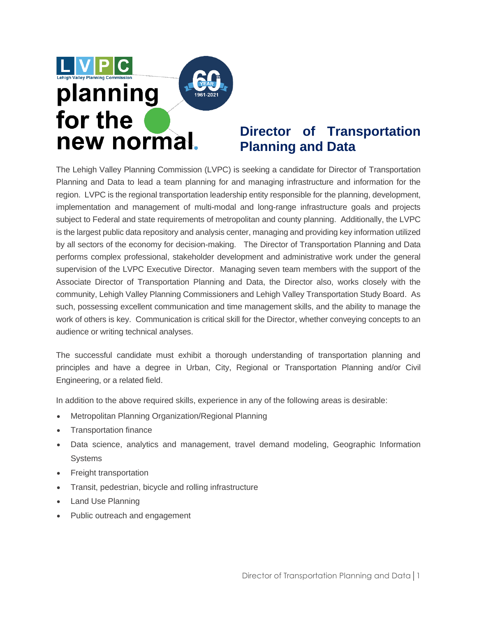

### **Director of [Transportation](http://www.maricopa-az.gov/web/job-descriptions/514-transportation-transit-planner) Planning and Data**

The Lehigh Valley Planning Commission (LVPC) is seeking a candidate for Director of Transportation Planning and Data to lead a team planning for and managing infrastructure and information for the region. LVPC is the regional transportation leadership entity responsible for the planning, development, implementation and management of multi-modal and long-range infrastructure goals and projects subject to Federal and state requirements of metropolitan and county planning. Additionally, the LVPC is the largest public data repository and analysis center, managing and providing key information utilized by all sectors of the economy for decision-making. The Director of Transportation Planning and Data performs complex professional, stakeholder development and administrative work under the general supervision of the LVPC Executive Director. Managing seven team members with the support of the Associate Director of Transportation Planning and Data, the Director also, works closely with the community, Lehigh Valley Planning Commissioners and Lehigh Valley Transportation Study Board. As such, possessing excellent communication and time management skills, and the ability to manage the work of others is key. Communication is critical skill for the Director, whether conveying concepts to an audience or writing technical analyses.

The successful candidate must exhibit a thorough understanding of transportation planning and principles and have a degree in Urban, City, Regional or Transportation Planning and/or Civil Engineering, or a related field.

In addition to the above required skills, experience in any of the following areas is desirable:

- Metropolitan Planning Organization/Regional Planning
- Transportation finance
- Data science, analytics and management, travel demand modeling, Geographic Information Systems
- Freight transportation
- Transit, pedestrian, bicycle and rolling infrastructure
- Land Use Planning
- Public outreach and engagement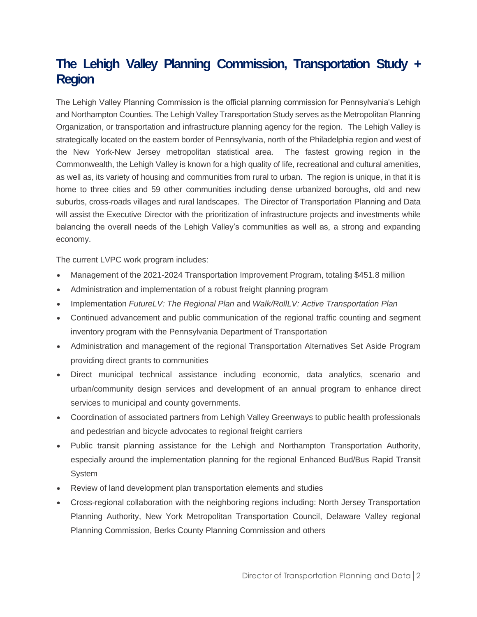## **The Lehigh Valley Planning Commission, Transportation Study + Region**

The Lehigh Valley Planning Commission is the official planning commission for Pennsylvania's Lehigh and Northampton Counties. The Lehigh Valley Transportation Study serves as the Metropolitan Planning Organization, or transportation and infrastructure planning agency for the region. The Lehigh Valley is strategically located on the eastern border of Pennsylvania, north of the Philadelphia region and west of the New York-New Jersey metropolitan statistical area. The fastest growing region in the Commonwealth, the Lehigh Valley is known for a high quality of life, recreational and cultural amenities, as well as, its variety of housing and communities from rural to urban. The region is unique, in that it is home to three cities and 59 other communities including dense urbanized boroughs, old and new suburbs, cross-roads villages and rural landscapes. The Director of Transportation Planning and Data will assist the Executive Director with the prioritization of infrastructure projects and investments while balancing the overall needs of the Lehigh Valley's communities as well as, a strong and expanding economy.

The current LVPC work program includes:

- Management of the 2021-2024 Transportation Improvement Program, totaling \$451.8 million
- Administration and implementation of a robust freight planning program
- Implementation *FutureLV: The Regional Plan* and *Walk/RollLV: Active Transportation Plan*
- Continued advancement and public communication of the regional traffic counting and segment inventory program with the Pennsylvania Department of Transportation
- Administration and management of the regional Transportation Alternatives Set Aside Program providing direct grants to communities
- Direct municipal technical assistance including economic, data analytics, scenario and urban/community design services and development of an annual program to enhance direct services to municipal and county governments.
- Coordination of associated partners from Lehigh Valley Greenways to public health professionals and pedestrian and bicycle advocates to regional freight carriers
- Public transit planning assistance for the Lehigh and Northampton Transportation Authority, especially around the implementation planning for the regional Enhanced Bud/Bus Rapid Transit System
- Review of land development plan transportation elements and studies
- Cross-regional collaboration with the neighboring regions including: North Jersey Transportation Planning Authority, New York Metropolitan Transportation Council, Delaware Valley regional Planning Commission, Berks County Planning Commission and others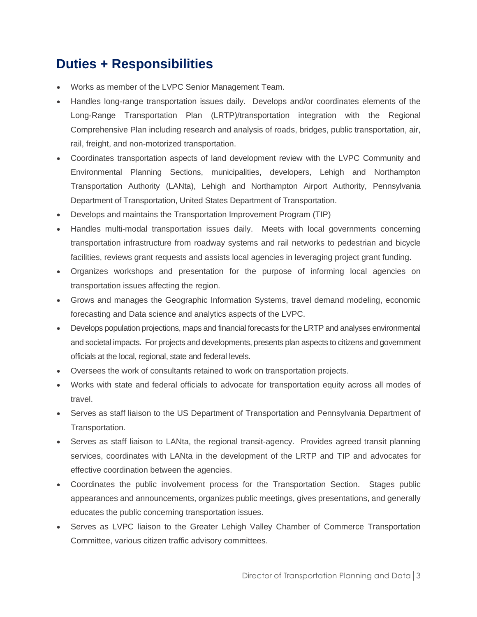# **Duties + Responsibilities**

- Works as member of the LVPC Senior Management Team.
- Handles long-range transportation issues daily. Develops and/or coordinates elements of the Long-Range Transportation Plan (LRTP)/transportation integration with the Regional Comprehensive Plan including research and analysis of roads, bridges, public transportation, air, rail, freight, and non-motorized transportation.
- Coordinates transportation aspects of land development review with the LVPC Community and Environmental Planning Sections, municipalities, developers, Lehigh and Northampton Transportation Authority (LANta), Lehigh and Northampton Airport Authority, Pennsylvania Department of Transportation, United States Department of Transportation.
- Develops and maintains the Transportation Improvement Program (TIP)
- Handles multi-modal transportation issues daily. Meets with local governments concerning transportation infrastructure from roadway systems and rail networks to pedestrian and bicycle facilities, reviews grant requests and assists local agencies in leveraging project grant funding.
- Organizes workshops and presentation for the purpose of informing local agencies on transportation issues affecting the region.
- Grows and manages the Geographic Information Systems, travel demand modeling, economic forecasting and Data science and analytics aspects of the LVPC.
- Develops population projections, maps and financial forecasts for the LRTP and analyses environmental and societal impacts. For projects and developments, presents plan aspects to citizens and government officials at the local, regional, state and federal levels.
- Oversees the work of consultants retained to work on transportation projects.
- Works with state and federal officials to advocate for transportation equity across all modes of travel.
- Serves as staff liaison to the US Department of Transportation and Pennsylvania Department of Transportation.
- Serves as staff liaison to LANta, the regional transit-agency. Provides agreed transit planning services, coordinates with LANta in the development of the LRTP and TIP and advocates for effective coordination between the agencies.
- Coordinates the public involvement process for the Transportation Section. Stages public appearances and announcements, organizes public meetings, gives presentations, and generally educates the public concerning transportation issues.
- Serves as LVPC liaison to the Greater Lehigh Valley Chamber of Commerce Transportation Committee, various citizen traffic advisory committees.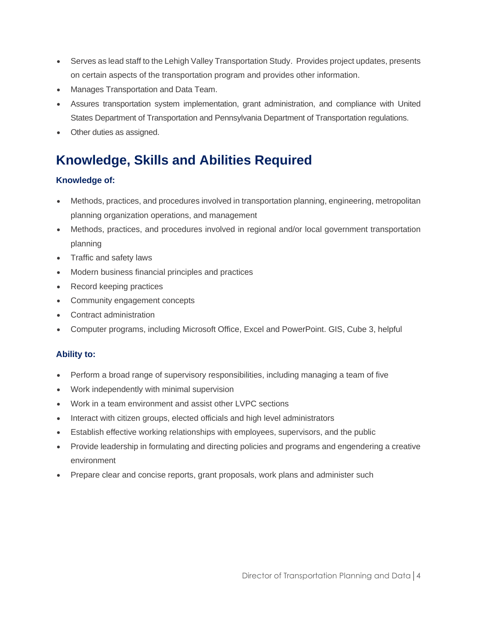- Serves as lead staff to the Lehigh Valley Transportation Study. Provides project updates, presents on certain aspects of the transportation program and provides other information.
- Manages Transportation and Data Team.
- Assures transportation system implementation, grant administration, and compliance with United States Department of Transportation and Pennsylvania Department of Transportation regulations.
- Other duties as assigned.

# **Knowledge, Skills and Abilities Required**

#### **Knowledge of:**

- Methods, practices, and procedures involved in transportation planning, engineering, metropolitan planning organization operations, and management
- Methods, practices, and procedures involved in regional and/or local government transportation planning
- Traffic and safety laws
- Modern business financial principles and practices
- Record keeping practices
- Community engagement concepts
- Contract administration
- Computer programs, including Microsoft Office, Excel and PowerPoint. GIS, Cube 3, helpful

#### **Ability to:**

- Perform a broad range of supervisory responsibilities, including managing a team of five
- Work independently with minimal supervision
- Work in a team environment and assist other LVPC sections
- Interact with citizen groups, elected officials and high level administrators
- Establish effective working relationships with employees, supervisors, and the public
- Provide leadership in formulating and directing policies and programs and engendering a creative environment
- Prepare clear and concise reports, grant proposals, work plans and administer such